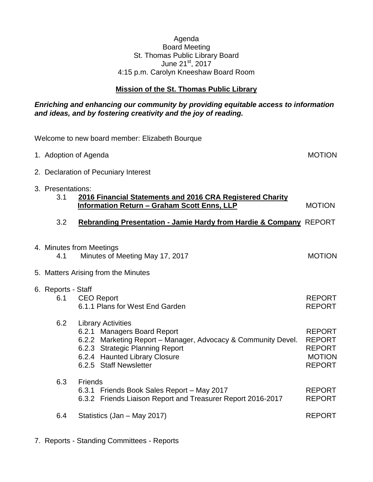## Agenda Board Meeting St. Thomas Public Library Board June 21<sup>st</sup>, 2017 4:15 p.m. Carolyn Kneeshaw Board Room

# **Mission of the St. Thomas Public Library**

## *Enriching and enhancing our community by providing equitable access to information and ideas, and by fostering creativity and the joy of reading.*

| Welcome to new board member: Elizabeth Bourque |                                      |                                                                                                                                                                                                                         |                                                                                   |
|------------------------------------------------|--------------------------------------|-------------------------------------------------------------------------------------------------------------------------------------------------------------------------------------------------------------------------|-----------------------------------------------------------------------------------|
|                                                | 1. Adoption of Agenda                |                                                                                                                                                                                                                         | <b>MOTION</b>                                                                     |
|                                                | 2. Declaration of Pecuniary Interest |                                                                                                                                                                                                                         |                                                                                   |
|                                                | 3. Presentations:<br>3.1             | 2016 Financial Statements and 2016 CRA Registered Charity<br><b>Information Return - Graham Scott Enns, LLP</b>                                                                                                         | <b>MOTION</b>                                                                     |
|                                                | 3.2                                  | Rebranding Presentation - Jamie Hardy from Hardie & Company REPORT                                                                                                                                                      |                                                                                   |
|                                                | 4.1                                  | 4. Minutes from Meetings<br>Minutes of Meeting May 17, 2017                                                                                                                                                             | <b>MOTION</b>                                                                     |
|                                                |                                      | 5. Matters Arising from the Minutes                                                                                                                                                                                     |                                                                                   |
|                                                | 6. Reports - Staff<br>6.1            | <b>CEO Report</b><br>6.1.1 Plans for West End Garden                                                                                                                                                                    | <b>REPORT</b><br><b>REPORT</b>                                                    |
|                                                | 6.2                                  | <b>Library Activities</b><br>6.2.1 Managers Board Report<br>6.2.2 Marketing Report - Manager, Advocacy & Community Devel.<br>6.2.3 Strategic Planning Report<br>6.2.4 Haunted Library Closure<br>6.2.5 Staff Newsletter | <b>REPORT</b><br><b>REPORT</b><br><b>REPORT</b><br><b>MOTION</b><br><b>REPORT</b> |
|                                                | 6.3                                  | <b>Friends</b><br>6.3.1 Friends Book Sales Report - May 2017<br>6.3.2 Friends Liaison Report and Treasurer Report 2016-2017                                                                                             | <b>REPORT</b><br><b>REPORT</b>                                                    |
|                                                | 6.4                                  | Statistics (Jan - May 2017)                                                                                                                                                                                             | <b>REPORT</b>                                                                     |
|                                                |                                      |                                                                                                                                                                                                                         |                                                                                   |

7. Reports - Standing Committees - Reports